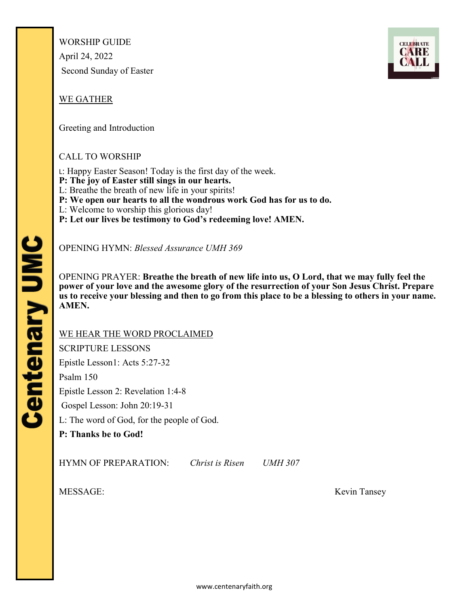WORSHIP GUIDE

April 24, 2022 Second Sunday of Easter



### WE GATHER

Greeting and Introduction

### CALL TO WORSHIP

L: Happy Easter Season! Today is the first day of the week.

- **P: The joy of Easter still sings in our hearts.**
- L: Breathe the breath of new life in your spirits!
- **P: We open our hearts to all the wondrous work God has for us to do.**
- L: Welcome to worship this glorious day!
- **P: Let our lives be testimony to God's redeeming love! AMEN.**

OPENING HYMN: *Blessed Assurance UMH 369* 

OPENING PRAYER: **Breathe the breath of new life into us, O Lord, that we may fully feel the power of your love and the awesome glory of the resurrection of your Son Jesus Christ. Prepare us to receive your blessing and then to go from this place to be a blessing to others in your name. AMEN.** 

WE HEAR THE WORD PROCLAIMED

SCRIPTURE LESSONS

Epistle Lesson1: Acts 5:27-32

Psalm 150

Epistle Lesson 2: Revelation 1:4-8

Gospel Lesson: John 20:19-31

L: The word of God, for the people of God.

**P: Thanks be to God!**

HYMN OF PREPARATION: *Christ is Risen UMH 307* 

MESSAGE: Kevin Tansey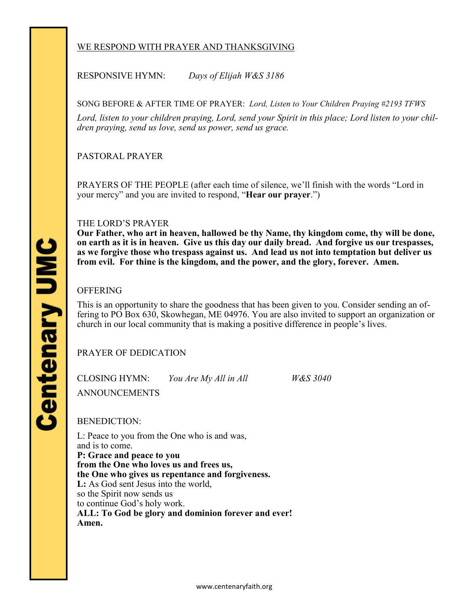### WE RESPOND WITH PRAYER AND THANKSGIVING

### RESPONSIVE HYMN: *Days of Elijah W&S 3186*

SONG BEFORE & AFTER TIME OF PRAYER: *Lord, Listen to Your Children Praying #2193 TFWS*

*Lord, listen to your children praying, Lord, send your Spirit in this place; Lord listen to your children praying, send us love, send us power, send us grace.* 

### PASTORAL PRAYER

PRAYERS OF THE PEOPLE (after each time of silence, we'll finish with the words "Lord in your mercy" and you are invited to respond, "**Hear our prayer**.")

### THE LORD'S PRAYER

**Our Father, who art in heaven, hallowed be thy Name, thy kingdom come, thy will be done, on earth as it is in heaven. Give us this day our daily bread. And forgive us our trespasses, as we forgive those who trespass against us. And lead us not into temptation but deliver us from evil. For thine is the kingdom, and the power, and the glory, forever. Amen.**

### **OFFERING**

This is an opportunity to share the goodness that has been given to you. Consider sending an offering to PO Box 630, Skowhegan, ME 04976. You are also invited to support an organization or church in our local community that is making a positive difference in people's lives.

PRAYER OF DEDICATION

CLOSING HYMN: *You Are My All in All W&S 3040*  ANNOUNCEMENTS

BENEDICTION:

L: Peace to you from the One who is and was, and is to come. **P: Grace and peace to you from the One who loves us and frees us, the One who gives us repentance and forgiveness. L:** As God sent Jesus into the world, so the Spirit now sends us to continue God's holy work. **ALL: To God be glory and dominion forever and ever! Amen.**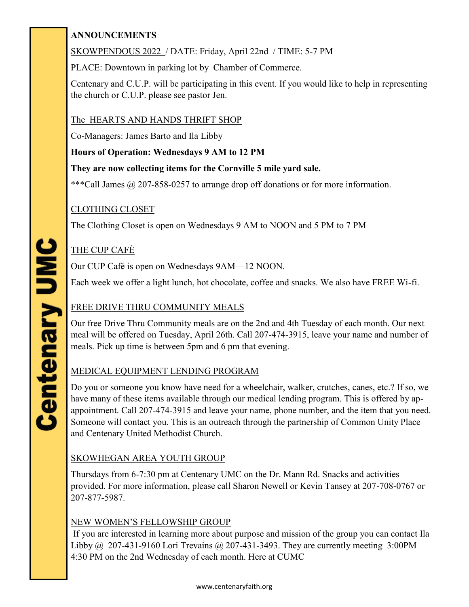# **ANNOUNCEMENTS**

SKOWPENDOUS 2022 / DATE: Friday, April 22nd / TIME: 5-7 PM

PLACE: Downtown in parking lot by Chamber of Commerce.

Centenary and C.U.P. will be participating in this event. If you would like to help in representing the church or C.U.P. please see pastor Jen.

# The HEARTS AND HANDS THRIFT SHOP

Co-Managers: James Barto and Ila Libby

**Hours of Operation: Wednesdays 9 AM to 12 PM** 

### **They are now collecting items for the Cornville 5 mile yard sale.**

\*\*\*Call James @ 207-858-0257 to arrange drop off donations or for more information.

# CLOTHING CLOSET

The Clothing Closet is open on Wednesdays 9 AM to NOON and 5 PM to 7 PM

# THE CUP CAFÉ

Our CUP Café is open on Wednesdays 9AM—12 NOON.

Each week we offer a light lunch, hot chocolate, coffee and snacks. We also have FREE Wi-fi.

## FREE DRIVE THRU COMMUNITY MEALS

Our free Drive Thru Community meals are on the 2nd and 4th Tuesday of each month. Our next meal will be offered on Tuesday, April 26th. Call 207-474-3915, leave your name and number of meals. Pick up time is between 5pm and 6 pm that evening.

## MEDICAL EQUIPMENT LENDING PROGRAM

Do you or someone you know have need for a wheelchair, walker, crutches, canes, etc.? If so, we have many of these items available through our medical lending program. This is offered by apappointment. Call 207-474-3915 and leave your name, phone number, and the item that you need. Someone will contact you. This is an outreach through the partnership of Common Unity Place and Centenary United Methodist Church.

## SKOWHEGAN AREA YOUTH GROUP

Thursdays from 6-7:30 pm at Centenary UMC on the Dr. Mann Rd. Snacks and activities provided. For more information, please call Sharon Newell or Kevin Tansey at 207-708-0767 or 207-877-5987.

## NEW WOMEN'S FELLOWSHIP GROUP

If you are interested in learning more about purpose and mission of the group you can contact Ila Libby @ 207-431-9160 Lori Trevains @ 207-431-3493. They are currently meeting 3:00PM— 4:30 PM on the 2nd Wednesday of each month. Here at CUMC